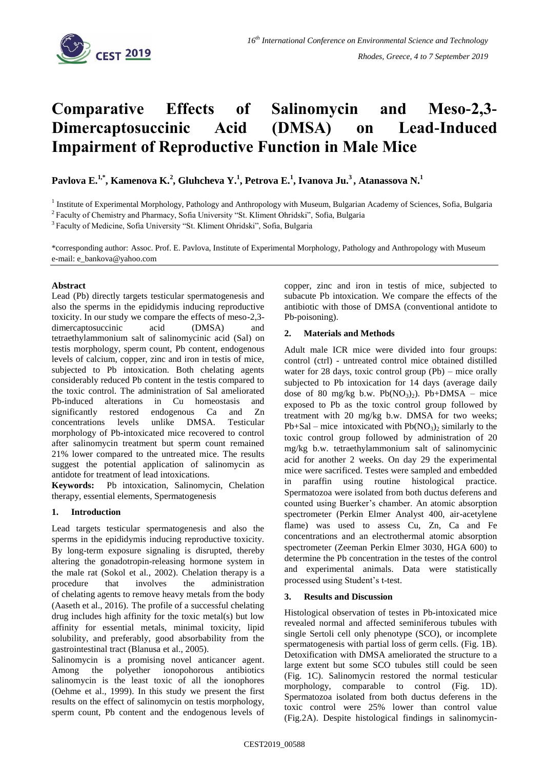

# **Comparative Effects of Salinomycin and Meso-2,3- Dimercaptosuccinic Acid (DMSA) on Lead-Induced Impairment of Reproductive Function in Male Mice**

## **Pavlova E.1,\* , Kamenova K.<sup>2</sup> , Gluhcheva Y.<sup>1</sup> , Petrova E.<sup>1</sup> , Ivanova Ju.<sup>3</sup> , Atanassova N.<sup>1</sup>**

<sup>1</sup> Institute of Experimental Morphology, Pathology and Anthropology with Museum, Bulgarian Academy of Sciences, Sofia, Bulgaria

<sup>2</sup> Faculty of Chemistry and Pharmacy, Sofia University "St. Kliment Ohridski", Sofia, Bulgaria

<sup>3</sup> Faculty of Medicine, Sofia University "St. Kliment Ohridski", Sofia, Bulgaria

\*corresponding author: Assoc. Prof. E. Pavlova, Institute of Experimental Morphology, Pathology and Anthropology with Museum e-mail: e\_bankova@yahoo.com

### **Abstract**

Lead (Pb) directly targets testicular spermatogenesis and also the sperms in the epididymis inducing reproductive toxicity. In our study we compare the effects of meso-2,3 dimercaptosuccinic acid (DMSA) and tetraethylammonium salt of salinomycinic acid (Sal) on testis morphology, sperm count, Pb content, endogenous levels of calcium, copper, zinc and iron in testis of mice, subjected to Pb intoxication. Both chelating agents considerably reduced Pb content in the testis compared to the toxic control. The administration of Sal ameliorated Pb-induced alterations in Cu homeostasis and significantly restored endogenous Ca and Zn concentrations levels unlike DMSA. Testicular morphology of Pb-intoxicated mice recovered to control after salinomycin treatment but sperm count remained 21% lower compared to the untreated mice. The results suggest the potential application of salinomycin as antidote for treatment of lead intoxications.

**Keywords:** Pb intoxication, Salinomycin, Chelation therapy, essential elements, Spermatogenesis

#### **1. Introduction**

Lead targets testicular spermatogenesis and also the sperms in the epididymis inducing reproductive toxicity. By long-term exposure signaling is disrupted, thereby altering the gonadotropin-releasing hormone system in the male rat (Sokol et al., 2002). Chelation therapy is a procedure that involves the administration of [chelating](https://en.wikipedia.org/wiki/Chelation) agents to remove [heavy metals](https://en.wikipedia.org/wiki/Heavy_metals) from the body (Aaseth et al., 2016). The profile of a successful chelating drug includes high affinity for the toxic metal(s) but low affinity for essential metals, minimal toxicity, lipid solubility, and preferably, good absorbability from the gastrointestinal tract (Blanusa et al., 2005).

Salinomycin is a promising novel anticancer agent. Among the polyether ionopohorous antibiotics salinomycin is the least toxic of all the ionophores (Oehme et al., 1999). In this study we present the first results on the effect of salinomycin on testis morphology, sperm count, Pb content and the endogenous levels of copper, zinc and iron in testis of mice, subjected to subacute Pb intoxication. We compare the effects of the antibiotic with those of DMSA (conventional antidote to Pb-poisoning).

### **2. Materials and Methods**

Adult male ICR mice were divided into four groups: control (ctrl) - untreated control mice obtained distilled water for 28 days, toxic control group (Pb) – mice orally subjected to Pb intoxication for 14 days (average daily dose of 80 mg/kg b.w.  $Pb(NO<sub>3</sub>)<sub>2</sub>$ ). Pb+DMSA – mice exposed to Pb as the toxic control group followed by treatment with 20 mg/kg b.w. DMSA for two weeks;  $Pb+Sal$  – mice intoxicated with  $Pb(NO<sub>3</sub>)<sub>2</sub>$  similarly to the toxic control group followed by administration of 20 mg/kg b.w. tetraethylammonium salt of salinomycinic acid for another 2 weeks. On day 29 the experimental mice were sacrificed. Testes were sampled and embedded in paraffin using routine histological practice. Spermatozoa were isolated from both ductus deferens and counted using Buerker's chamber. An atomic absorption spectrometer (Perkin Elmer Analyst 400, air-acetylene flame) was used to assess Cu, Zn, Ca and Fe concentrations and an electrothermal atomic absorption spectrometer (Zeeman Perkin Elmer 3030, HGA 600) to determine the Pb concentration in the testes of the control and experimental animals. Data were statistically processed using Student's t-test.

#### **3. Results and Discussion**

Histological observation of testes in Pb-intoxicated mice revealed normal and affected seminiferous tubules with single Sertoli cell only phenotype (SCO), or incomplete spermatogenesis with partial loss of germ cells. (Fig. 1B). Detoxification with DMSA ameliorated the structure to a large extent but some SCO tubules still could be seen (Fig. 1C). Salinomycin restored the normal testicular morphology, comparable to control (Fig. 1D). Spermatozoa isolated from both ductus deferens in the toxic control were 25% lower than control value (Fig.2A). Despite histological findings in salinomycin